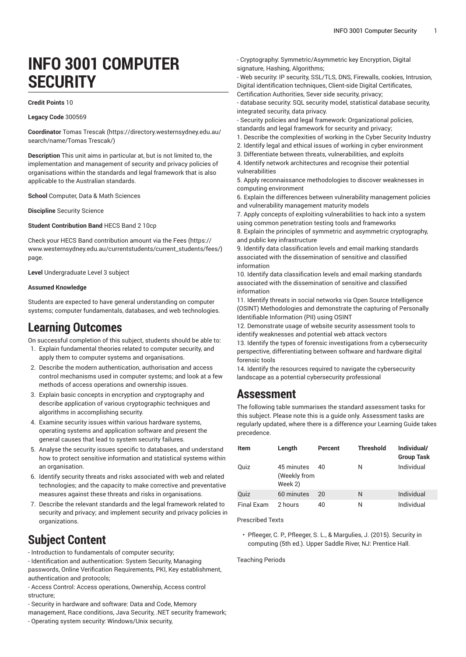# **INFO 3001 COMPUTER SECURITY**

#### **Credit Points** 10

**Legacy Code** 300569

**Coordinator** Tomas [Trescak](https://directory.westernsydney.edu.au/search/name/Tomas Trescak/) ([https://directory.westernsydney.edu.au/](https://directory.westernsydney.edu.au/search/name/Tomas Trescak/) [search/name/Tomas](https://directory.westernsydney.edu.au/search/name/Tomas Trescak/) Trescak/)

**Description** This unit aims in particular at, but is not limited to, the implementation and management of security and privacy policies of organisations within the standards and legal framework that is also applicable to the Australian standards.

**School** Computer, Data & Math Sciences

**Discipline** Security Science

**Student Contribution Band** HECS Band 2 10cp

Check your HECS Band contribution amount via the [Fees \(https://](https://www.westernsydney.edu.au/currentstudents/current_students/fees/) [www.westernsydney.edu.au/currentstudents/current\\_students/fees/\)](https://www.westernsydney.edu.au/currentstudents/current_students/fees/) page.

**Level** Undergraduate Level 3 subject

#### **Assumed Knowledge**

Students are expected to have general understanding on computer systems; computer fundamentals, databases, and web technologies.

## **Learning Outcomes**

On successful completion of this subject, students should be able to:

- 1. Explain fundamental theories related to computer security, and apply them to computer systems and organisations.
- 2. Describe the modern authentication, authorisation and access control mechanisms used in computer systems; and look at a few methods of access operations and ownership issues.
- 3. Explain basic concepts in encryption and cryptography and describe application of various cryptographic techniques and algorithms in accomplishing security.
- 4. Examine security issues within various hardware systems, operating systems and application software and present the general causes that lead to system security failures.
- 5. Analyse the security issues specific to databases, and understand how to protect sensitive information and statistical systems within an organisation.
- 6. Identify security threats and risks associated with web and related technologies; and the capacity to make corrective and preventative measures against these threats and risks in organisations.
- 7. Describe the relevant standards and the legal framework related to security and privacy; and implement security and privacy policies in organizations.

## **Subject Content**

- Introduction to fundamentals of computer security;

- Identification and authentication: System Security, Managing passwords, Online Verification Requirements, PKI, Key establishment, authentication and protocols;

- Access Control: Access operations, Ownership, Access control structure;

- Security in hardware and software: Data and Code, Memory
- management, Race conditions, Java Security, .NET security framework;
- Operating system security: Windows/Unix security,
- Cryptography: Symmetric/Asymmetric key Encryption, Digital signature, Hashing, Algorithms;
- Web security: IP security, SSL/TLS, DNS, Firewalls, cookies, Intrusion, Digital identification techniques, Client-side Digital Certificates,
- Certification Authorities, Sever side security, privacy;
- database security: SQL security model, statistical database security, integrated security, data privacy.
- Security policies and legal framework: Organizational policies, standards and legal framework for security and privacy;
- 1. Describe the complexities of working in the Cyber Security Industry
- 2. Identify legal and ethical issues of working in cyber environment
- 3. Differentiate between threats, vulnerabilities, and exploits
- 4. Identify network architectures and recognise their potential vulnerabilities

5. Apply reconnaissance methodologies to discover weaknesses in computing environment

6. Explain the differences between vulnerability management policies and vulnerability management maturity models

7. Apply concepts of exploiting vulnerabilities to hack into a system using common penetration testing tools and frameworks

8. Explain the principles of symmetric and asymmetric cryptography, and public key infrastructure

9. Identify data classification levels and email marking standards associated with the dissemination of sensitive and classified information

10. Identify data classification levels and email marking standards associated with the dissemination of sensitive and classified information

11. Identify threats in social networks via Open Source Intelligence (OSINT) Methodologies and demonstrate the capturing of Personally Identifiable Information (PII) using OSINT

12. Demonstrate usage of website security assessment tools to identify weaknesses and potential web attack vectors

13. Identify the types of forensic investigations from a cybersecurity perspective, differentiating between software and hardware digital forensic tools

14. Identify the resources required to navigate the cybersecurity landscape as a potential cybersecurity professional

## **Assessment**

The following table summarises the standard assessment tasks for this subject. Please note this is a guide only. Assessment tasks are regularly updated, where there is a difference your Learning Guide takes precedence.

|  | Item       | Length                                | Percent | <b>Threshold</b> | Individual/<br><b>Group Task</b> |
|--|------------|---------------------------------------|---------|------------------|----------------------------------|
|  | Quiz       | 45 minutes<br>(Weekly from<br>Week 2) | 40      | N                | Individual                       |
|  | Quiz       | 60 minutes                            | 20      | N                | Individual                       |
|  | Final Exam | 2 hours                               | 40      | Ν                | Individual                       |

Prescribed Texts

• Pfleeger, C. P., Pfleeger, S. L., & Margulies, J. (2015). Security in computing (5th ed.). Upper Saddle River, NJ: Prentice Hall.

Teaching Periods